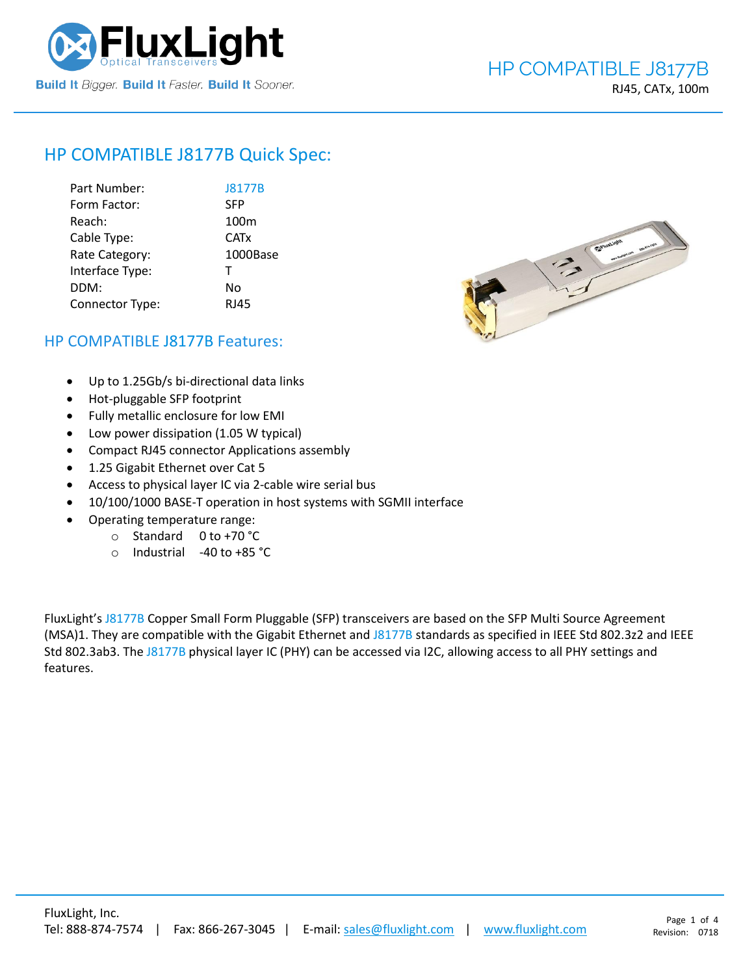

# HP COMPATIBLE [J8177B](https://www.fluxlight.com/j8177b/) Quick Spec:

| Part Number:    | <b>J8177B</b>          |
|-----------------|------------------------|
| Form Factor:    | <b>SFP</b>             |
| Reach:          | 100 <sub>m</sub>       |
| Cable Type:     | <b>CAT<sub>x</sub></b> |
| Rate Category:  | 1000Base               |
| Interface Type: | т                      |
| DDM:            | No                     |
| Connector Type: | <b>RJ45</b>            |



# HP COMPATIBLE [J8177B](https://www.fluxlight.com/j8177b/) Features:

- Up to 1.25Gb/s bi-directional data links
- Hot-pluggable SFP footprint
- Fully metallic enclosure for low EMI
- Low power dissipation (1.05 W typical)
- Compact RJ45 connector Applications assembly
- 1.25 Gigabit Ethernet over Cat 5
- Access to physical layer IC via 2-cable wire serial bus
- 10/100/1000 BASE-T operation in host systems with SGMII interface
- Operating temperature range:
	- o Standard 0 to +70 °C
	- o Industrial -40 to +85 °C

FluxLight's [J8177B](https://www.fluxlight.com/j8177b/) Copper Small Form Pluggable (SFP) transceivers are based on the SFP Multi Source Agreement (MSA)1. They are compatible with the Gigabit Ethernet and [J8177B](https://www.fluxlight.com/j8177b/) standards as specified in IEEE Std 802.3z2 and IEEE Std 802.3ab3. The [J8177B](https://www.fluxlight.com/j8177b/) physical layer IC (PHY) can be accessed via I2C, allowing access to all PHY settings and features.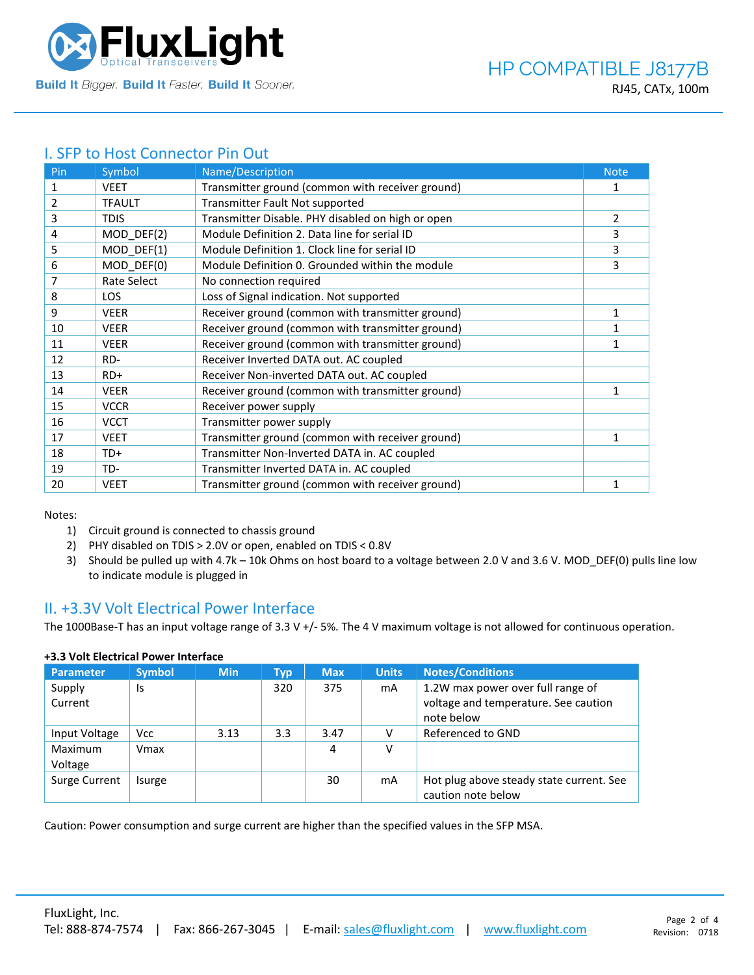

# I. SFP to Host Connector Pin Out

| Pin            | Symbol        | Name/Description                                  | <b>Note</b> |
|----------------|---------------|---------------------------------------------------|-------------|
| 1              | <b>VEET</b>   | Transmitter ground (common with receiver ground)  | 1           |
| $\overline{2}$ | <b>TFAULT</b> | Transmitter Fault Not supported                   |             |
| 3              | <b>TDIS</b>   | Transmitter Disable. PHY disabled on high or open | 2           |
| 4              | $MOD_DEF(2)$  | Module Definition 2. Data line for serial ID      | 3           |
| 5              | MOD DEF(1)    | Module Definition 1. Clock line for serial ID     | 3           |
| 6              | MOD DEF(0)    | Module Definition 0. Grounded within the module   | 3           |
| 7              | Rate Select   | No connection required                            |             |
| 8              | <b>LOS</b>    | Loss of Signal indication. Not supported          |             |
| 9              | <b>VEER</b>   | Receiver ground (common with transmitter ground)  | 1           |
| 10             | <b>VEER</b>   | Receiver ground (common with transmitter ground)  | 1           |
| 11             | <b>VEER</b>   | Receiver ground (common with transmitter ground)  | 1           |
| 12             | RD-           | Receiver Inverted DATA out. AC coupled            |             |
| 13             | $RD+$         | Receiver Non-inverted DATA out. AC coupled        |             |
| 14             | <b>VEER</b>   | Receiver ground (common with transmitter ground)  | 1           |
| 15             | <b>VCCR</b>   | Receiver power supply                             |             |
| 16             | <b>VCCT</b>   | Transmitter power supply                          |             |
| 17             | <b>VEET</b>   | Transmitter ground (common with receiver ground)  | 1           |
| 18             | TD+           | Transmitter Non-Inverted DATA in. AC coupled      |             |
| 19             | TD-           | Transmitter Inverted DATA in. AC coupled          |             |
| 20             | <b>VEET</b>   | Transmitter ground (common with receiver ground)  | 1           |

Notes:

- 1) Circuit ground is connected to chassis ground
- 2) PHY disabled on TDIS > 2.0V or open, enabled on TDIS < 0.8V
- 3) Should be pulled up with 4.7k 10k Ohms on host board to a voltage between 2.0 V and 3.6 V. MOD\_DEF(0) pulls line low to indicate module is plugged in

### II. +3.3V Volt Electrical Power Interface

The 1000Base-T has an input voltage range of 3.3 V +/- 5%. The 4 V maximum voltage is not allowed for continuous operation.

| <b>Parameter</b>   | <b>Symbol</b> | <b>Min</b> | Typ | <b>Max</b> | <b>Units</b> | <b>Notes/Conditions</b>                                                                 |
|--------------------|---------------|------------|-----|------------|--------------|-----------------------------------------------------------------------------------------|
| Supply<br>Current  | Is            |            | 320 | 375        | mA           | 1.2W max power over full range of<br>voltage and temperature. See caution<br>note below |
| Input Voltage      | <b>Vcc</b>    | 3.13       | 3.3 | 3.47       |              | Referenced to GND                                                                       |
| Maximum<br>Voltage | Vmax          |            |     | 4          | ν            |                                                                                         |
| Surge Current      | Isurge        |            |     | 30         | mA           | Hot plug above steady state current. See<br>caution note below                          |

### **+3.3 Volt Electrical Power Interface**

Caution: Power consumption and surge current are higher than the specified values in the SFP MSA.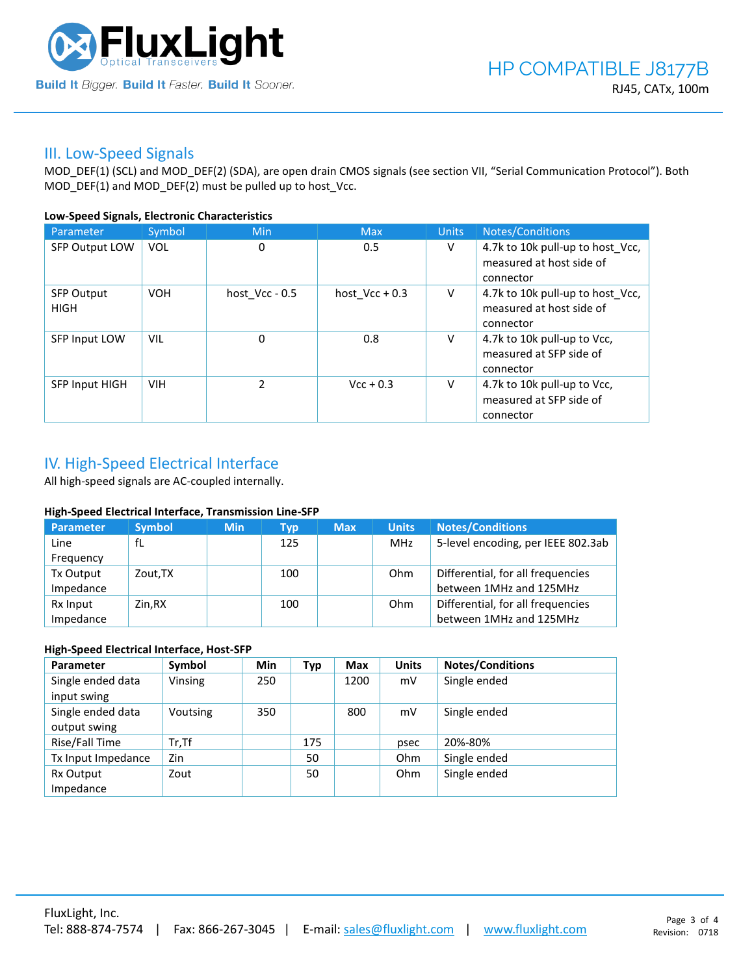

### III. Low-Speed Signals

MOD\_DEF(1) (SCL) and MOD\_DEF(2) (SDA), are open drain CMOS signals (see section VII, "Serial Communication Protocol"). Both MOD\_DEF(1) and MOD\_DEF(2) must be pulled up to host\_Vcc.

### **Low-Speed Signals, Electronic Characteristics**

| Parameter                        | Symbol     | Min              | <b>Max</b>       | <b>Units</b> | Notes/Conditions                                                          |
|----------------------------------|------------|------------------|------------------|--------------|---------------------------------------------------------------------------|
| SFP Output LOW                   | VOL        | 0                | 0.5              | V            | 4.7k to 10k pull-up to host_Vcc,<br>measured at host side of<br>connector |
| <b>SFP Output</b><br><b>HIGH</b> | <b>VOH</b> | host $Vcc - 0.5$ | host $Vcc + 0.3$ | V            | 4.7k to 10k pull-up to host Vcc,<br>measured at host side of<br>connector |
| SFP Input LOW                    | VIL        | $\mathbf 0$      | 0.8              | v            | 4.7k to 10k pull-up to Vcc,<br>measured at SFP side of<br>connector       |
| SFP Input HIGH                   | <b>VIH</b> | $\mathcal{P}$    | $Vcc + 0.3$      | V            | 4.7k to 10k pull-up to Vcc,<br>measured at SFP side of<br>connector       |

# IV. High-Speed Electrical Interface

All high-speed signals are AC-coupled internally.

### **High-Speed Electrical Interface, Transmission Line-SFP**

| Parameter | <b>Symbol</b> | <b>Min</b> | Typ | <b>Max</b> | <b>Units</b> | <b>Notes/Conditions</b>            |
|-----------|---------------|------------|-----|------------|--------------|------------------------------------|
| Line      | fL            |            | 125 |            | MHz          | 5-level encoding, per IEEE 802.3ab |
| Frequency |               |            |     |            |              |                                    |
| Tx Output | Zout, TX      |            | 100 |            | Ohm          | Differential, for all frequencies  |
| Impedance |               |            |     |            |              | between 1MHz and 125MHz            |
| Rx Input  | Zin.RX        |            | 100 |            | Ohm          | Differential, for all frequencies  |
| Impedance |               |            |     |            |              | between 1MHz and 125MHz            |

### **High-Speed Electrical Interface, Host-SFP**

| Parameter          | Symbol   | <b>Min</b> | <b>Typ</b> | <b>Max</b> | <b>Units</b> | <b>Notes/Conditions</b> |
|--------------------|----------|------------|------------|------------|--------------|-------------------------|
| Single ended data  | Vinsing  | 250        |            | 1200       | mV           | Single ended            |
| input swing        |          |            |            |            |              |                         |
| Single ended data  | Voutsing | 350        |            | 800        | mV           | Single ended            |
| output swing       |          |            |            |            |              |                         |
| Rise/Fall Time     | $Tr.$ Tf |            | 175        |            | psec         | 20%-80%                 |
| Tx Input Impedance | Zin      |            | 50         |            | Ohm          | Single ended            |
| Rx Output          | Zout     |            | 50         |            | Ohm          | Single ended            |
| Impedance          |          |            |            |            |              |                         |